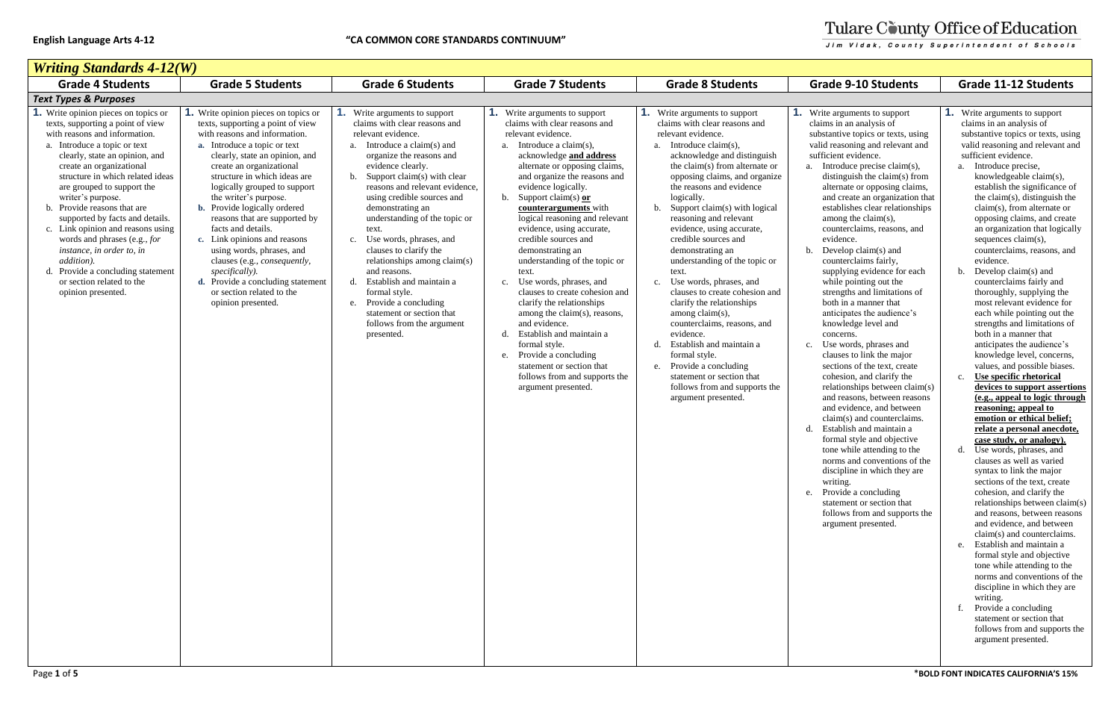| <b>Writing Standards 4-12(W)</b>                                                                                                                                                                                                                                                                                                                                                                                                                                                                                                                                    |                                                                                                                                                                                                                                                                                                                                                                                                                                                                                                                                                                                                                |                                                                                                                                                                                                                                                                                                                                                                                                                                                                                                                                                                                                        |                                                                                                                                                                                                                                                                                                                                                                                                                                                                                                                                                                                                                                                                                                                                                                           |                                                                                                                                                                                                                                                                                                                                                                                                                                                                                                                                                                                                                                                                                                                                                                                               |                                                                                                                                                                                                                                                                                                                                                                                                                                                                                                                                                                                                                                                                                                                                                                                                                                                                                                                                                                                                                                                                                                                                                                                             |                                                                                                                                                                                                                                                                                                                                                                                                                                                                                                                                                                                                                                                                                                                                                                                                                                                                                                                                                                                                                                                                                                                                                                                                                                                                                                                                                                                                                                                                                                                                |
|---------------------------------------------------------------------------------------------------------------------------------------------------------------------------------------------------------------------------------------------------------------------------------------------------------------------------------------------------------------------------------------------------------------------------------------------------------------------------------------------------------------------------------------------------------------------|----------------------------------------------------------------------------------------------------------------------------------------------------------------------------------------------------------------------------------------------------------------------------------------------------------------------------------------------------------------------------------------------------------------------------------------------------------------------------------------------------------------------------------------------------------------------------------------------------------------|--------------------------------------------------------------------------------------------------------------------------------------------------------------------------------------------------------------------------------------------------------------------------------------------------------------------------------------------------------------------------------------------------------------------------------------------------------------------------------------------------------------------------------------------------------------------------------------------------------|---------------------------------------------------------------------------------------------------------------------------------------------------------------------------------------------------------------------------------------------------------------------------------------------------------------------------------------------------------------------------------------------------------------------------------------------------------------------------------------------------------------------------------------------------------------------------------------------------------------------------------------------------------------------------------------------------------------------------------------------------------------------------|-----------------------------------------------------------------------------------------------------------------------------------------------------------------------------------------------------------------------------------------------------------------------------------------------------------------------------------------------------------------------------------------------------------------------------------------------------------------------------------------------------------------------------------------------------------------------------------------------------------------------------------------------------------------------------------------------------------------------------------------------------------------------------------------------|---------------------------------------------------------------------------------------------------------------------------------------------------------------------------------------------------------------------------------------------------------------------------------------------------------------------------------------------------------------------------------------------------------------------------------------------------------------------------------------------------------------------------------------------------------------------------------------------------------------------------------------------------------------------------------------------------------------------------------------------------------------------------------------------------------------------------------------------------------------------------------------------------------------------------------------------------------------------------------------------------------------------------------------------------------------------------------------------------------------------------------------------------------------------------------------------|--------------------------------------------------------------------------------------------------------------------------------------------------------------------------------------------------------------------------------------------------------------------------------------------------------------------------------------------------------------------------------------------------------------------------------------------------------------------------------------------------------------------------------------------------------------------------------------------------------------------------------------------------------------------------------------------------------------------------------------------------------------------------------------------------------------------------------------------------------------------------------------------------------------------------------------------------------------------------------------------------------------------------------------------------------------------------------------------------------------------------------------------------------------------------------------------------------------------------------------------------------------------------------------------------------------------------------------------------------------------------------------------------------------------------------------------------------------------------------------------------------------------------------|
| <b>Grade 4 Students</b>                                                                                                                                                                                                                                                                                                                                                                                                                                                                                                                                             | <b>Grade 5 Students</b>                                                                                                                                                                                                                                                                                                                                                                                                                                                                                                                                                                                        | <b>Grade 6 Students</b>                                                                                                                                                                                                                                                                                                                                                                                                                                                                                                                                                                                | <b>Grade 7 Students</b>                                                                                                                                                                                                                                                                                                                                                                                                                                                                                                                                                                                                                                                                                                                                                   | <b>Grade 8 Students</b>                                                                                                                                                                                                                                                                                                                                                                                                                                                                                                                                                                                                                                                                                                                                                                       | <b>Grade 9-10 Students</b>                                                                                                                                                                                                                                                                                                                                                                                                                                                                                                                                                                                                                                                                                                                                                                                                                                                                                                                                                                                                                                                                                                                                                                  | <b>Grade 11-12 Students</b>                                                                                                                                                                                                                                                                                                                                                                                                                                                                                                                                                                                                                                                                                                                                                                                                                                                                                                                                                                                                                                                                                                                                                                                                                                                                                                                                                                                                                                                                                                    |
| <b>Text Types &amp; Purposes</b>                                                                                                                                                                                                                                                                                                                                                                                                                                                                                                                                    |                                                                                                                                                                                                                                                                                                                                                                                                                                                                                                                                                                                                                |                                                                                                                                                                                                                                                                                                                                                                                                                                                                                                                                                                                                        |                                                                                                                                                                                                                                                                                                                                                                                                                                                                                                                                                                                                                                                                                                                                                                           |                                                                                                                                                                                                                                                                                                                                                                                                                                                                                                                                                                                                                                                                                                                                                                                               |                                                                                                                                                                                                                                                                                                                                                                                                                                                                                                                                                                                                                                                                                                                                                                                                                                                                                                                                                                                                                                                                                                                                                                                             |                                                                                                                                                                                                                                                                                                                                                                                                                                                                                                                                                                                                                                                                                                                                                                                                                                                                                                                                                                                                                                                                                                                                                                                                                                                                                                                                                                                                                                                                                                                                |
| Write opinion pieces on topics or<br>texts, supporting a point of view<br>with reasons and information.<br>a. Introduce a topic or text<br>clearly, state an opinion, and<br>create an organizational<br>structure in which related ideas<br>are grouped to support the<br>writer's purpose.<br>b. Provide reasons that are<br>supported by facts and details.<br>c. Link opinion and reasons using<br>words and phrases (e.g., for<br>instance, in order to, in<br>addition).<br>Provide a concluding statement<br>or section related to the<br>opinion presented. | <b>1.</b> Write opinion pieces on topics or<br>texts, supporting a point of view<br>with reasons and information.<br>a. Introduce a topic or text<br>clearly, state an opinion, and<br>create an organizational<br>structure in which ideas are<br>logically grouped to support<br>the writer's purpose.<br>b. Provide logically ordered<br>reasons that are supported by<br>facts and details.<br>c. Link opinions and reasons<br>using words, phrases, and<br>clauses (e.g., <i>consequently</i> ,<br>specifically).<br>d. Provide a concluding statement<br>or section related to the<br>opinion presented. | <b>1.</b> Write arguments to support<br>claims with clear reasons and<br>relevant evidence.<br>a. Introduce a claim(s) and<br>organize the reasons and<br>evidence clearly.<br>b. Support claim(s) with clear<br>reasons and relevant evidence,<br>using credible sources and<br>demonstrating an<br>understanding of the topic or<br>text.<br>c. Use words, phrases, and<br>clauses to clarify the<br>relationships among claim(s)<br>and reasons.<br>d. Establish and maintain a<br>formal style.<br>e. Provide a concluding<br>statement or section that<br>follows from the argument<br>presented. | <b>1.</b> Write arguments to support<br>claims with clear reasons and<br>relevant evidence.<br>a. Introduce a claim $(s)$ ,<br>acknowledge and address<br>alternate or opposing claims,<br>and organize the reasons and<br>evidence logically.<br>b. Support claim(s) $or$<br>counterarguments with<br>logical reasoning and relevant<br>evidence, using accurate,<br>credible sources and<br>demonstrating an<br>understanding of the topic or<br>text.<br>Use words, phrases, and<br>c.<br>clauses to create cohesion and<br>clarify the relationships<br>among the claim(s), reasons,<br>and evidence.<br>d. Establish and maintain a<br>formal style.<br>e. Provide a concluding<br>statement or section that<br>follows from and supports the<br>argument presented. | <b>1.</b> Write arguments to support<br>claims with clear reasons and<br>relevant evidence.<br>a. Introduce claim(s),<br>acknowledge and distinguish<br>the claim(s) from alternate or<br>opposing claims, and organize<br>the reasons and evidence<br>logically.<br>b. Support claim(s) with logical<br>reasoning and relevant<br>evidence, using accurate,<br>credible sources and<br>demonstrating an<br>understanding of the topic or<br>text.<br>Use words, phrases, and<br>$c_{\cdot}$<br>clauses to create cohesion and<br>clarify the relationships<br>among claim(s),<br>counterclaims, reasons, and<br>evidence.<br>Establish and maintain a<br>d.<br>formal style.<br>e. Provide a concluding<br>statement or section that<br>follows from and supports the<br>argument presented. | Write arguments to support<br>claims in an analysis of<br>substantive topics or texts, using<br>valid reasoning and relevant and<br>sufficient evidence.<br>a. Introduce precise claim(s),<br>distinguish the claim(s) from<br>alternate or opposing claims,<br>and create an organization that<br>establishes clear relationships<br>among the claim $(s)$ ,<br>counterclaims, reasons, and<br>evidence.<br>Develop claim(s) and<br>counterclaims fairly,<br>supplying evidence for each<br>while pointing out the<br>strengths and limitations of<br>both in a manner that<br>anticipates the audience's<br>knowledge level and<br>concerns.<br>Use words, phrases and<br>clauses to link the major<br>sections of the text, create<br>cohesion, and clarify the<br>relationships between claim(s)<br>and reasons, between reasons<br>and evidence, and between<br>claim(s) and counterclaims.<br>Establish and maintain a<br>d.<br>formal style and objective<br>tone while attending to the<br>norms and conventions of the<br>discipline in which they are<br>writing.<br>e. Provide a concluding<br>statement or section that<br>follows from and supports the<br>argument presented. | <b>I.</b> Write arguments to support<br>claims in an analysis of<br>substantive topics or texts, usii<br>valid reasoning and relevant an<br>sufficient evidence.<br>a. Introduce precise,<br>knowledgeable claim(s),<br>establish the significance o<br>the claim(s), distinguish the<br>$claim(s)$ , from alternate or<br>opposing claims, and create<br>an organization that logical<br>sequences claim(s),<br>counterclaims, reasons, and<br>evidence.<br>Develop claim(s) and<br>counterclaims fairly and<br>thoroughly, supplying the<br>most relevant evidence for<br>each while pointing out the<br>strengths and limitations of<br>both in a manner that<br>anticipates the audience's<br>knowledge level, concerns,<br>values, and possible biases<br>Use specific rhetorical<br>devices to support asserti<br>(e.g., appeal to logic throu<br>reasoning; appeal to<br>emotion or ethical belief;<br>relate a personal anecdot<br>case study, or analogy).<br>d. Use words, phrases, and<br>clauses as well as varied<br>syntax to link the major<br>sections of the text, create<br>cohesion, and clarify the<br>relationships between clair<br>and reasons, between reaso<br>and evidence, and between<br>claim(s) and counterclaims<br>e. Establish and maintain a<br>formal style and objective<br>tone while attending to the<br>norms and conventions of t<br>discipline in which they are<br>writing.<br>Provide a concluding<br>statement or section that<br>follows from and supports<br>argument presented. |

# Tulare County Office of Education

Jim Vidak, County Superintendent of Schools

- **1.** Write arguments to support claims in an analysis of substantive topics or texts, using valid reasoning and relevant and sufficient evidence.
	- a. Introduce precise, knowledgeable claim(s), establish the significance of the claim(s), distinguish the claim(s), from alternate or opposing claims, and create an organization that logically sequences claim(s), counterclaims, reasons, and evidence.
	- b. Develop claim(s) and counterclaims fairly and thoroughly, supplying the most relevant evidence for each while pointing out the strengths and limitations of both in a manner that anticipates the audience's knowledge level, concerns, values, and possible biases.
	- c. **Use specific rhetorical devices to support assertions (e.g., appeal to logic through reasoning; appeal to emotion or ethical belief; relate a personal anecdote, case study, or analogy).**
	- d. Use words, phrases, and clauses as well as varied syntax to link the major sections of the text, create cohesion, and clarify the relationships between claim(s) and reasons, between reasons and evidence, and between claim(s) and counterclaims.
	- e. Establish and maintain a formal style and objective tone while attending to the norms and conventions of the discipline in which they are writing.
	- f. Provide a concluding statement or section that follows from and supports the argument presented.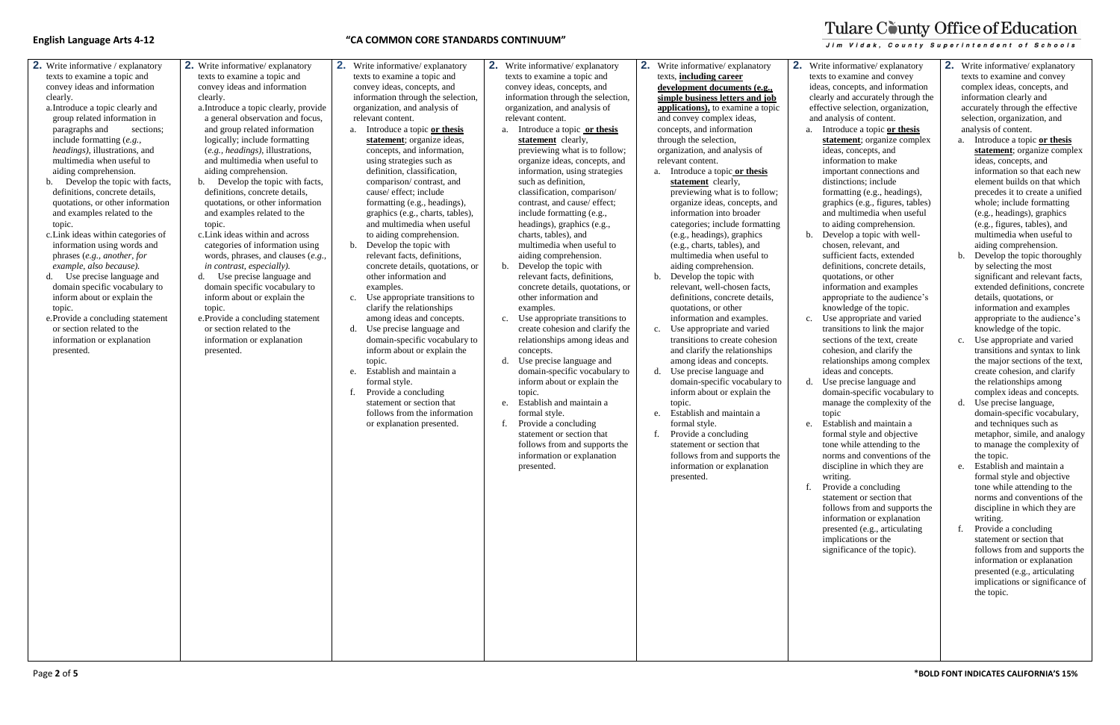- **2.** Write informative / explanatory texts to examine a topic and convey ideas and information clearly.
	- a.Introduce a topic clearly and group related information in paragraphs and sections; include formatting (*e.g., headings)*, illustrations, and multimedia when useful to aiding comprehension.
	- b. Develop the topic with facts, definitions, concrete details, quotations, or other information and examples related to the topic.
	- c.Link ideas within categories of information using words and phrases (*e.g., another, for example, also because).*
	- d. Use precise language and domain specific vocabulary to inform about or explain the topic.
	- e.Provide a concluding statement or section related to the information or explanation presented.
- **2.** Write informative/ explanatory texts to examine a topic and convey ideas and information clearly.
	- a.Introduce a topic clearly, provide a general observation and focus, and group related information logically; include formatting (*e.g., headings)*, illustrations, and multimedia when useful to aiding comprehension.
	- b. Develop the topic with facts, definitions, concrete details, quotations, or other information and examples related to the topic.
	- c.Link ideas within and across categories of information using words, phrases, and clauses (*e.g., in contrast, especially).*
	- d. Use precise language and domain specific vocabulary to inform about or explain the topic.
	- e.Provide a concluding statement or section related to the information or explanation presented.
- **2.** Write informative/ explanatory texts to examine a topic and convey ideas, concepts, and information through the selection, organization, and analysis of relevant content.
	- a. Introduce a topic **or thesis statement**; organize ideas, concepts, and information, using strategies such as definition, classification, comparison/ contrast, and cause/ effect; include formatting (e.g., headings), graphics (e.g., charts, tables), and multimedia when useful to aiding comprehension.
	- b. Develop the topic with relevant facts, definitions, concrete details, quotations, or other information and examples.
	- c. Use appropriate transitions to clarify the relationships among ideas and concepts.
	- d. Use precise language and domain-specific vocabulary to inform about or explain the topic.
	- e. Establish and maintain a formal style.
	- f. Provide a concluding statement or section that follows from the information or explanation presented.

**2.** Write informative/ explanatory texts to examine a topic and convey ideas, concepts, and information through the selection, organization, and analysis of relevant content.

- a. Introduce a topic **or thesis statement** clearly, previewing what is to follow; organize ideas, concepts, and information, using strategies such as definition, classification, comparison/ contrast, and cause/ effect; include formatting (e.g., headings), graphics (e.g., charts, tables), and multimedia when useful to aiding comprehension.
- b. Develop the topic with relevant facts, definitions, concrete details, quotations, or other information and examples.
- c. Use appropriate transitions to create cohesion and clarify the relationships among ideas and concepts.
- d. Use precise language and domain-specific vocabulary to inform about or explain the topic.
- e. Establish and maintain a formal style.
- f. Provide a concluding statement or section that follows from and supports the information or explanation presented.
- **2.** Write informative/ explanatory texts, **including career development documents (e.g., simple business letters and job applications),** to examine a topic and convey complex ideas, concepts, and information through the selection, organization, and analysis of relevant content.
	- a. Introduce a topic **or thesis**  statement clearly, previewing what is to follow; organize ideas, concepts, and information into broader categories; include formatting (e.g., headings), graphics (e.g., charts, tables), and multimedia when useful to aiding comprehension.
	- b. Develop the topic with relevant, well-chosen facts, definitions, concrete details, quotations, or other information and examples. c. Use appropriate and varied transitions to create cohesion
	- and clarify the relationships among ideas and concepts. d. Use precise language and domain-specific vocabulary to inform about or explain the
	- topic. e. Establish and maintain a formal style.
	- f. Provide a concluding statement or section that follows from and supports the information or explanation presented.
- 

# Tulare County Office of Education

**Jim Vidak, County Superintendent of Schools** 

**2.** Write informative/ explanatory texts to examine and convey ideas, concepts, and information clearly and accurately through the effective selection, organization, and analysis of content. a. Introduce a topic **or thesis statement**; organize complex ideas, concepts, and information to make important connections and distinctions; include formatting (e.g., headings), graphics (e.g., figures, tables) and multimedia when useful to aiding comprehension. b. Develop a topic with wellchosen, relevant, and sufficient facts, extended definitions, concrete details, quotations, or other information and examples appropriate to the audience's knowledge of the topic.

c. Use appropriate and varied transitions to link the major sections of the text, create cohesion, and clarify the relationships among complex ideas and concepts.

d. Use precise language and domain-specific vocabulary to manage the complexity of the topic

e. Establish and maintain a formal style and objective tone while attending to the norms and conventions of the discipline in which they are writing.

f. Provide a concluding statement or section that follows from and supports the information or explanation presented (e.g., articulating implications or the

significance of the topic).

**2.** Write informative/ explanatory texts to examine and convey complex ideas, concepts, and information clearly and accurately through the effective selection, organization, and analysis of content.

- a. Introduce a topic **or thesis statement**; organize complex ideas, concepts, and information so that each new element builds on that which precedes it to create a unified whole; include formatting (e.g., headings), graphics (e.g., figures, tables), and multimedia when useful to aiding comprehension.
- b. Develop the topic thoroughly by selecting the most significant and relevant facts, extended definitions, concrete details, quotations, or information and examples appropriate to the audience's knowledge of the topic.
- c. Use appropriate and varied transitions and syntax to link the major sections of the text, create cohesion, and clarify the relationships among complex ideas and concepts.
- d. Use precise language, domain-specific vocabulary, and techniques such as metaphor, simile, and analogy to manage the complexity of the topic.
- e. Establish and maintain a formal style and objective tone while attending to the norms and conventions of the discipline in which they are writing.
- f. Provide a concluding statement or section that follows from and supports the information or explanation presented (e.g., articulating implications or significance of the topic.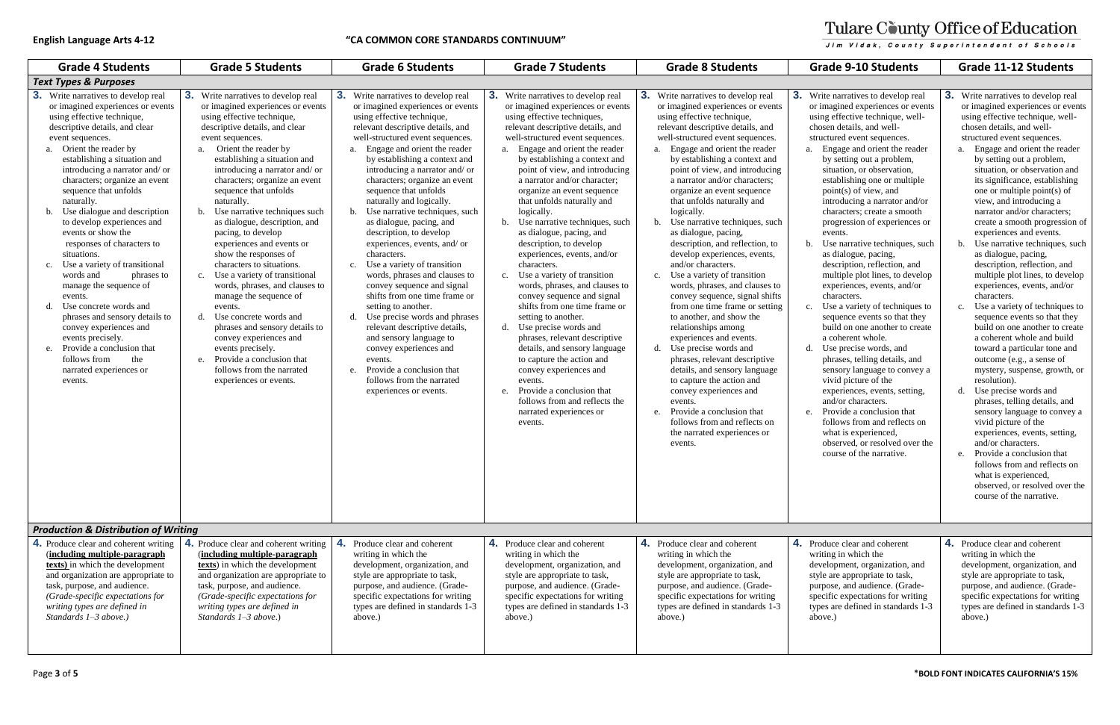| <b>Grade 4 Students</b>                                                                                                                                                                                                                                                                                                                                                                                                                                                                                                                                                                                                                                                                                                                                                                   | <b>Grade 5 Students</b>                                                                                                                                                                                                                                                                                                                                                                                                                                                                                                                                                                                                                                                                                                                                                                                                                       | <b>Grade 6 Students</b>                                                                                                                                                                                                                                                                                                                                                                                                                                                                                                                                                                                                                                                                                                                                                                                                                                                                                              | <b>Grade 7 Students</b>                                                                                                                                                                                                                                                                                                                                                                                                                                                                                                                                                                                                                                                                                                                                                                                                                                                                                                                                                                           | <b>Grade 8 Students</b>                                                                                                                                                                                                                                                                                                                                                                                                                                                                                                                                                                                                                                                                                                                                                                                                                                                                                                                                                                                                                                             | <b>Grade 9-10 Students</b>                                                                                                                                                                                                                                                                                                                                                                                                                                                                                                                                                                                                                                                                                                                                                                                                                                                                                                                                                                                                                                                                                     | <b>Grade 11-12 Students</b>                                                                                                                                                                                                                                                                                                                                                                                                                                                                                                                                                                                                                                                                                                                                                                                                                                                                                                                                                                                                                                                                                                                                                                             |
|-------------------------------------------------------------------------------------------------------------------------------------------------------------------------------------------------------------------------------------------------------------------------------------------------------------------------------------------------------------------------------------------------------------------------------------------------------------------------------------------------------------------------------------------------------------------------------------------------------------------------------------------------------------------------------------------------------------------------------------------------------------------------------------------|-----------------------------------------------------------------------------------------------------------------------------------------------------------------------------------------------------------------------------------------------------------------------------------------------------------------------------------------------------------------------------------------------------------------------------------------------------------------------------------------------------------------------------------------------------------------------------------------------------------------------------------------------------------------------------------------------------------------------------------------------------------------------------------------------------------------------------------------------|----------------------------------------------------------------------------------------------------------------------------------------------------------------------------------------------------------------------------------------------------------------------------------------------------------------------------------------------------------------------------------------------------------------------------------------------------------------------------------------------------------------------------------------------------------------------------------------------------------------------------------------------------------------------------------------------------------------------------------------------------------------------------------------------------------------------------------------------------------------------------------------------------------------------|---------------------------------------------------------------------------------------------------------------------------------------------------------------------------------------------------------------------------------------------------------------------------------------------------------------------------------------------------------------------------------------------------------------------------------------------------------------------------------------------------------------------------------------------------------------------------------------------------------------------------------------------------------------------------------------------------------------------------------------------------------------------------------------------------------------------------------------------------------------------------------------------------------------------------------------------------------------------------------------------------|---------------------------------------------------------------------------------------------------------------------------------------------------------------------------------------------------------------------------------------------------------------------------------------------------------------------------------------------------------------------------------------------------------------------------------------------------------------------------------------------------------------------------------------------------------------------------------------------------------------------------------------------------------------------------------------------------------------------------------------------------------------------------------------------------------------------------------------------------------------------------------------------------------------------------------------------------------------------------------------------------------------------------------------------------------------------|----------------------------------------------------------------------------------------------------------------------------------------------------------------------------------------------------------------------------------------------------------------------------------------------------------------------------------------------------------------------------------------------------------------------------------------------------------------------------------------------------------------------------------------------------------------------------------------------------------------------------------------------------------------------------------------------------------------------------------------------------------------------------------------------------------------------------------------------------------------------------------------------------------------------------------------------------------------------------------------------------------------------------------------------------------------------------------------------------------------|---------------------------------------------------------------------------------------------------------------------------------------------------------------------------------------------------------------------------------------------------------------------------------------------------------------------------------------------------------------------------------------------------------------------------------------------------------------------------------------------------------------------------------------------------------------------------------------------------------------------------------------------------------------------------------------------------------------------------------------------------------------------------------------------------------------------------------------------------------------------------------------------------------------------------------------------------------------------------------------------------------------------------------------------------------------------------------------------------------------------------------------------------------------------------------------------------------|
| <b>Text Types &amp; Purposes</b>                                                                                                                                                                                                                                                                                                                                                                                                                                                                                                                                                                                                                                                                                                                                                          |                                                                                                                                                                                                                                                                                                                                                                                                                                                                                                                                                                                                                                                                                                                                                                                                                                               |                                                                                                                                                                                                                                                                                                                                                                                                                                                                                                                                                                                                                                                                                                                                                                                                                                                                                                                      |                                                                                                                                                                                                                                                                                                                                                                                                                                                                                                                                                                                                                                                                                                                                                                                                                                                                                                                                                                                                   |                                                                                                                                                                                                                                                                                                                                                                                                                                                                                                                                                                                                                                                                                                                                                                                                                                                                                                                                                                                                                                                                     |                                                                                                                                                                                                                                                                                                                                                                                                                                                                                                                                                                                                                                                                                                                                                                                                                                                                                                                                                                                                                                                                                                                |                                                                                                                                                                                                                                                                                                                                                                                                                                                                                                                                                                                                                                                                                                                                                                                                                                                                                                                                                                                                                                                                                                                                                                                                         |
| 3.<br>Write narratives to develop real<br>or imagined experiences or events<br>using effective technique,<br>descriptive details, and clear<br>event sequences.<br>Orient the reader by<br>a.<br>establishing a situation and<br>introducing a narrator and/or<br>characters; organize an event<br>sequence that unfolds<br>naturally.<br>Use dialogue and description<br>to develop experiences and<br>events or show the<br>responses of characters to<br>situations.<br>Use a variety of transitional<br>c.<br>words and<br>phrases to<br>manage the sequence of<br>events.<br>Use concrete words and<br>phrases and sensory details to<br>convey experiences and<br>events precisely.<br>Provide a conclusion that<br>e.<br>the<br>follows from<br>narrated experiences or<br>events. | 3.<br>Write narratives to develop real<br>or imagined experiences or events<br>using effective technique,<br>descriptive details, and clear<br>event sequences.<br>Orient the reader by<br>a.<br>establishing a situation and<br>introducing a narrator and/or<br>characters; organize an event<br>sequence that unfolds<br>naturally.<br>Use narrative techniques such<br>b.<br>as dialogue, description, and<br>pacing, to develop<br>experiences and events or<br>show the responses of<br>characters to situations.<br>Use a variety of transitional<br>c.<br>words, phrases, and clauses to<br>manage the sequence of<br>events.<br>d. Use concrete words and<br>phrases and sensory details to<br>convey experiences and<br>events precisely.<br>Provide a conclusion that<br>e.<br>follows from the narrated<br>experiences or events. | <b>3.</b> Write narratives to develop real<br>or imagined experiences or events<br>using effective technique,<br>relevant descriptive details, and<br>well-structured event sequences.<br>Engage and orient the reader<br>a.<br>by establishing a context and<br>introducing a narrator and/or<br>characters; organize an event<br>sequence that unfolds<br>naturally and logically.<br>b. Use narrative techniques, such<br>as dialogue, pacing, and<br>description, to develop<br>experiences, events, and/ or<br>characters.<br>c. Use a variety of transition<br>words, phrases and clauses to<br>convey sequence and signal<br>shifts from one time frame or<br>setting to another.<br>d. Use precise words and phrases<br>relevant descriptive details,<br>and sensory language to<br>convey experiences and<br>events.<br>e. Provide a conclusion that<br>follows from the narrated<br>experiences or events. | <b>3.</b> Write narratives to develop real<br>or imagined experiences or events<br>using effective techniques,<br>relevant descriptive details, and<br>well-structured event sequences.<br>a. Engage and orient the reader<br>by establishing a context and<br>point of view, and introducing<br>a narrator and/or character;<br>organize an event sequence<br>that unfolds naturally and<br>logically.<br>b. Use narrative techniques, such<br>as dialogue, pacing, and<br>description, to develop<br>experiences, events, and/or<br>characters.<br>c. Use a variety of transition<br>words, phrases, and clauses to<br>convey sequence and signal<br>shifts from one time frame or<br>setting to another.<br>d. Use precise words and<br>phrases, relevant descriptive<br>details, and sensory language<br>to capture the action and<br>convey experiences and<br>events.<br>Provide a conclusion that<br>e <sub>1</sub><br>follows from and reflects the<br>narrated experiences or<br>events. | <b>3.</b> Write narratives to develop real<br>or imagined experiences or events<br>using effective technique,<br>relevant descriptive details, and<br>well-structured event sequences.<br>a. Engage and orient the reader<br>by establishing a context and<br>point of view, and introducing<br>a narrator and/or characters;<br>organize an event sequence<br>that unfolds naturally and<br>logically.<br>Use narrative techniques, such<br>b.<br>as dialogue, pacing,<br>description, and reflection, to<br>develop experiences, events,<br>and/or characters.<br>c. Use a variety of transition<br>words, phrases, and clauses to<br>convey sequence, signal shifts<br>from one time frame or setting<br>to another, and show the<br>relationships among<br>experiences and events.<br>d. Use precise words and<br>phrases, relevant descriptive<br>details, and sensory language<br>to capture the action and<br>convey experiences and<br>events.<br>Provide a conclusion that<br>e.<br>follows from and reflects on<br>the narrated experiences or<br>events. | <b>3.</b> Write narratives to develop real<br>or imagined experiences or events<br>using effective technique, well-<br>chosen details, and well-<br>structured event sequences.<br>a. Engage and orient the reader<br>by setting out a problem,<br>situation, or observation,<br>establishing one or multiple<br>point(s) of view, and<br>introducing a narrator and/or<br>characters; create a smooth<br>progression of experiences or<br>events.<br>Use narrative techniques, such<br>$\mathbf{b}$ .<br>as dialogue, pacing,<br>description, reflection, and<br>multiple plot lines, to develop<br>experiences, events, and/or<br>characters.<br>c. Use a variety of techniques to<br>sequence events so that they<br>build on one another to create<br>a coherent whole.<br>d. Use precise words, and<br>phrases, telling details, and<br>sensory language to convey a<br>vivid picture of the<br>experiences, events, setting,<br>and/or characters.<br>e. Provide a conclusion that<br>follows from and reflects on<br>what is experienced,<br>observed, or resolved over the<br>course of the narrative. | <b>3.</b> Write narratives to develop rea<br>or imagined experiences or evo<br>using effective technique, well<br>chosen details, and well-<br>structured event sequences.<br>a. Engage and orient the read<br>by setting out a problem,<br>situation, or observation an<br>its significance, establishin<br>one or multiple point(s) of<br>view, and introducing a<br>narrator and/or characters:<br>create a smooth progression<br>experiences and events.<br>b. Use narrative techniques, s<br>as dialogue, pacing,<br>description, reflection, and<br>multiple plot lines, to devel<br>experiences, events, and/or<br>characters.<br>c. Use a variety of techniques<br>sequence events so that the<br>build on one another to cre<br>a coherent whole and build<br>toward a particular tone an<br>outcome (e.g., a sense of<br>mystery, suspense, growth,<br>resolution).<br>d. Use precise words and<br>phrases, telling details, and<br>sensory language to convey<br>vivid picture of the<br>experiences, events, setting<br>and/or characters.<br>e. Provide a conclusion that<br>follows from and reflects o<br>what is experienced,<br>observed, or resolved over<br>course of the narrative. |
| <b>Production &amp; Distribution of Writing</b>                                                                                                                                                                                                                                                                                                                                                                                                                                                                                                                                                                                                                                                                                                                                           |                                                                                                                                                                                                                                                                                                                                                                                                                                                                                                                                                                                                                                                                                                                                                                                                                                               |                                                                                                                                                                                                                                                                                                                                                                                                                                                                                                                                                                                                                                                                                                                                                                                                                                                                                                                      |                                                                                                                                                                                                                                                                                                                                                                                                                                                                                                                                                                                                                                                                                                                                                                                                                                                                                                                                                                                                   |                                                                                                                                                                                                                                                                                                                                                                                                                                                                                                                                                                                                                                                                                                                                                                                                                                                                                                                                                                                                                                                                     |                                                                                                                                                                                                                                                                                                                                                                                                                                                                                                                                                                                                                                                                                                                                                                                                                                                                                                                                                                                                                                                                                                                |                                                                                                                                                                                                                                                                                                                                                                                                                                                                                                                                                                                                                                                                                                                                                                                                                                                                                                                                                                                                                                                                                                                                                                                                         |
| 4. Produce clear and coherent writing<br>(including multiple-paragraph<br>texts) in which the development<br>and organization are appropriate to<br>task, purpose, and audience.<br>(Grade-specific expectations for<br>writing types are defined in<br>Standards $1 - 3$ above.)                                                                                                                                                                                                                                                                                                                                                                                                                                                                                                         | 4. Produce clear and coherent writing<br>(including multiple-paragraph<br>texts) in which the development<br>and organization are appropriate to<br>task, purpose, and audience.<br>(Grade-specific expectations for<br>writing types are defined in<br>Standards $1-3$ above.)                                                                                                                                                                                                                                                                                                                                                                                                                                                                                                                                                               | 4. Produce clear and coherent<br>writing in which the<br>development, organization, and<br>style are appropriate to task,<br>purpose, and audience. (Grade-<br>specific expectations for writing<br>types are defined in standards 1-3<br>above.)                                                                                                                                                                                                                                                                                                                                                                                                                                                                                                                                                                                                                                                                    | 4. Produce clear and coherent<br>writing in which the<br>development, organization, and<br>style are appropriate to task,<br>purpose, and audience. (Grade-<br>specific expectations for writing<br>types are defined in standards 1-3<br>above.)                                                                                                                                                                                                                                                                                                                                                                                                                                                                                                                                                                                                                                                                                                                                                 | 4. Produce clear and coherent<br>writing in which the<br>development, organization, and<br>style are appropriate to task,<br>purpose, and audience. (Grade-<br>specific expectations for writing<br>types are defined in standards 1-3<br>above.)                                                                                                                                                                                                                                                                                                                                                                                                                                                                                                                                                                                                                                                                                                                                                                                                                   | 4. Produce clear and coherent<br>writing in which the<br>development, organization, and<br>style are appropriate to task,<br>purpose, and audience. (Grade-<br>specific expectations for writing<br>types are defined in standards 1-3<br>above.)                                                                                                                                                                                                                                                                                                                                                                                                                                                                                                                                                                                                                                                                                                                                                                                                                                                              | 4. Produce clear and coherent<br>writing in which the<br>development, organization, an<br>style are appropriate to task,<br>purpose, and audience. (Grade<br>specific expectations for writin<br>types are defined in standards<br>above.)                                                                                                                                                                                                                                                                                                                                                                                                                                                                                                                                                                                                                                                                                                                                                                                                                                                                                                                                                              |

## Tulare County Office of Education Jim Vidak, County Superintendent of Schools

- **ite narratives to develop real** imagined experiences or events ng effective technique, wellosen details, and wellactured event sequences.
- Engage and orient the reader by setting out a problem, situation, or observation, establishing one or multiple point(s) of view, and
- introducing a narrator and/or characters; create a smooth progression of experiences or events.
- Use narrative techniques, such as dialogue, pacing,
- description, reflection, and multiple plot lines, to develop experiences, events, and/or characters.
- Use a variety of techniques to sequence events so that they build on one another to create a coherent whole.
- Use precise words, and phrases, telling details, and sensory language to convey a vivid picture of the
- experiences, events, setting, and/or characters.
- Provide a conclusion that follows from and reflects on
- observed, or resolved over the
- what is experienced,
- course of the narrative.
- **A.** Produce clear and coherent iting in which the development, organization, and le are appropriate to task, pose, and audience. (Gradeecific expectations for writing es are defined in standards 1-3 ye.)
- **3.** Write narratives to develop real or imagined experiences or events using effective technique, wellchosen details, and wellstructured event sequences.
	- a. Engage and orient the reader by setting out a problem, situation, or observation and its significance, establishing one or multiple point(s) of view, and introducing a narrator and/or characters; create a smooth progression of experiences and events.
	- b. Use narrative techniques, such as dialogue, pacing, description, reflection, and multiple plot lines, to develop experiences, events, and/or characters.
	- c. Use a variety of techniques to sequence events so that they build on one another to create a coherent whole and build toward a particular tone and outcome (e.g., a sense of mystery, suspense, growth, or resolution).
	- d. Use precise words and phrases, telling details, and sensory language to convey a vivid picture of the experiences, events, setting, and/or characters.
	- e. Provide a conclusion that follows from and reflects on what is experienced, observed, or resolved over the course of the narrative.
- **4.** Produce clear and coherent writing in which the development, organization, and style are appropriate to task, purpose, and audience. (Gradespecific expectations for writing types are defined in standards 1-3 above.)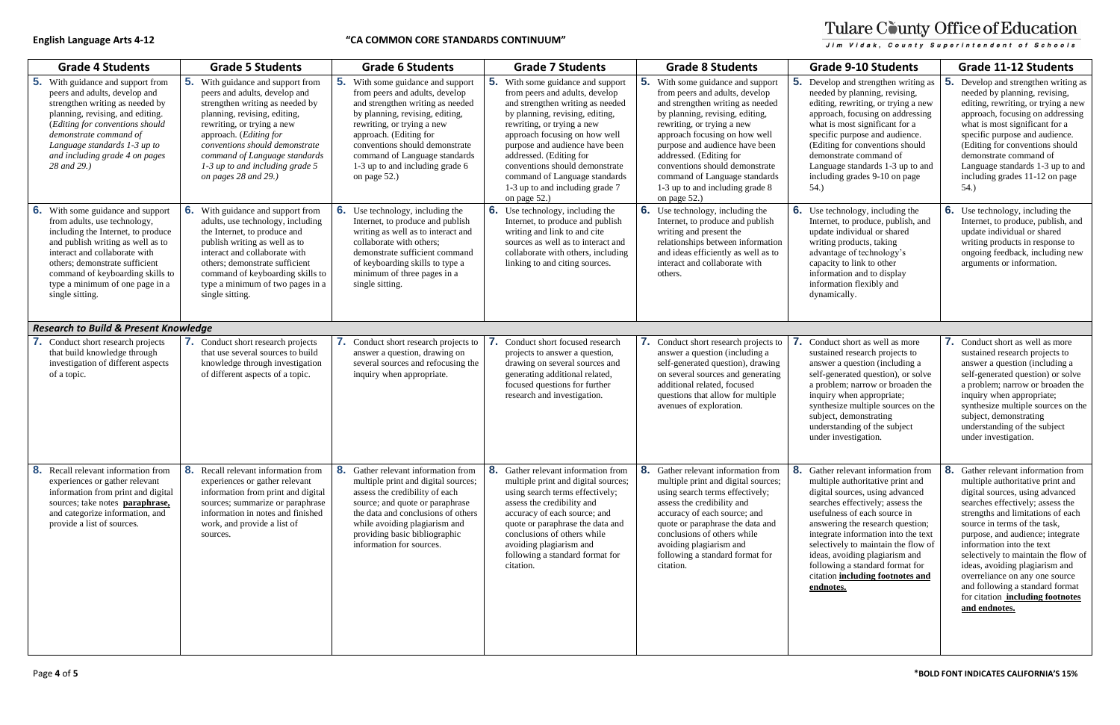| Grs |   |
|-----|---|
|     |   |
|     |   |
|     |   |
|     |   |
|     | ļ |
|     |   |
|     |   |
|     |   |

| <b>Grade 4 Students</b>                                                                                                                                                                                                                                                                                      | <b>Grade 5 Students</b>                                                                                                                                                                                                                                                                                                    | <b>Grade 6 Students</b>                                                                                                                                                                                                                                                                                                         | <b>Grade 7 Students</b>                                                                                                                                                                                                                                                                                                                                                                   | <b>Grade 8 Students</b>                                                                                                                                                                                                                                                                                                                                                                   | <b>Grade 9-10 Students</b>                                                                                                                                                                                                                                                                                                                                                                                             | <b>Grade 11-12 Students</b>                                                                                                                                                                                                                                                                                                                                                                                                                                                             |
|--------------------------------------------------------------------------------------------------------------------------------------------------------------------------------------------------------------------------------------------------------------------------------------------------------------|----------------------------------------------------------------------------------------------------------------------------------------------------------------------------------------------------------------------------------------------------------------------------------------------------------------------------|---------------------------------------------------------------------------------------------------------------------------------------------------------------------------------------------------------------------------------------------------------------------------------------------------------------------------------|-------------------------------------------------------------------------------------------------------------------------------------------------------------------------------------------------------------------------------------------------------------------------------------------------------------------------------------------------------------------------------------------|-------------------------------------------------------------------------------------------------------------------------------------------------------------------------------------------------------------------------------------------------------------------------------------------------------------------------------------------------------------------------------------------|------------------------------------------------------------------------------------------------------------------------------------------------------------------------------------------------------------------------------------------------------------------------------------------------------------------------------------------------------------------------------------------------------------------------|-----------------------------------------------------------------------------------------------------------------------------------------------------------------------------------------------------------------------------------------------------------------------------------------------------------------------------------------------------------------------------------------------------------------------------------------------------------------------------------------|
| 5.<br>With guidance and support from<br>peers and adults, develop and<br>strengthen writing as needed by<br>planning, revising, and editing.<br>(Editing for conventions should<br>demonstrate command of<br>Language standards 1-3 up to<br>and including grade 4 on pages<br>28 and 29.)                   | With guidance and support from<br>peers and adults, develop and<br>strengthen writing as needed by<br>planning, revising, editing,<br>rewriting, or trying a new<br>approach. (Editing for<br>conventions should demonstrate<br>command of Language standards<br>$1-3$ up to and including grade 5<br>on pages 28 and 29.) | <b>5.</b> With some guidance and support<br>from peers and adults, develop<br>and strengthen writing as needed<br>by planning, revising, editing,<br>rewriting, or trying a new<br>approach. (Editing for<br>conventions should demonstrate<br>command of Language standards<br>1-3 up to and including grade 6<br>on page 52.) | With some guidance and support<br>from peers and adults, develop<br>and strengthen writing as needed<br>by planning, revising, editing,<br>rewriting, or trying a new<br>approach focusing on how well<br>purpose and audience have been<br>addressed. (Editing for<br>conventions should demonstrate<br>command of Language standards<br>1-3 up to and including grade 7<br>on page 52.) | With some guidance and support<br>from peers and adults, develop<br>and strengthen writing as needed<br>by planning, revising, editing,<br>rewriting, or trying a new<br>approach focusing on how well<br>purpose and audience have been<br>addressed. (Editing for<br>conventions should demonstrate<br>command of Language standards<br>1-3 up to and including grade 8<br>on page 52.) | Develop and strengthen writing as<br>needed by planning, revising,<br>editing, rewriting, or trying a new<br>approach, focusing on addressing<br>what is most significant for a<br>specific purpose and audience.<br>(Editing for conventions should<br>demonstrate command of<br>Language standards 1-3 up to and<br>including grades 9-10 on page<br>54.)                                                            | 5.<br>Develop and strengthen writing as<br>needed by planning, revising,<br>editing, rewriting, or trying a new<br>approach, focusing on addressing<br>what is most significant for a<br>specific purpose and audience.<br>(Editing for conventions should<br>demonstrate command of<br>Language standards 1-3 up to and<br>including grades 11-12 on page<br>54.)                                                                                                                      |
| 6.<br>With some guidance and support<br>from adults, use technology,<br>including the Internet, to produce<br>and publish writing as well as to<br>interact and collaborate with<br>others; demonstrate sufficient<br>command of keyboarding skills to<br>type a minimum of one page in a<br>single sitting. | 6.<br>With guidance and support from<br>adults, use technology, including<br>the Internet, to produce and<br>publish writing as well as to<br>interact and collaborate with<br>others; demonstrate sufficient<br>command of keyboarding skills to<br>type a minimum of two pages in a<br>single sitting.                   | <b>6.</b> Use technology, including the<br>Internet, to produce and publish<br>writing as well as to interact and<br>collaborate with others;<br>demonstrate sufficient command<br>of keyboarding skills to type a<br>minimum of three pages in a<br>single sitting.                                                            | <b>6.</b> Use technology, including the<br>Internet, to produce and publish<br>writing and link to and cite<br>sources as well as to interact and<br>collaborate with others, including<br>linking to and citing sources.                                                                                                                                                                 | <b>6.</b> Use technology, including the<br>Internet, to produce and publish<br>writing and present the<br>relationships between information<br>and ideas efficiently as well as to<br>interact and collaborate with<br>others.                                                                                                                                                            | 6. Use technology, including the<br>Internet, to produce, publish, and<br>update individual or shared<br>writing products, taking<br>advantage of technology's<br>capacity to link to other<br>information and to display<br>information flexibly and<br>dynamically.                                                                                                                                                  | <b>6.</b> Use technology, including the<br>Internet, to produce, publish, and<br>update individual or shared<br>writing products in response to<br>ongoing feedback, including new<br>arguments or information.                                                                                                                                                                                                                                                                         |
| <b>Research to Build &amp; Present Knowledge</b>                                                                                                                                                                                                                                                             |                                                                                                                                                                                                                                                                                                                            |                                                                                                                                                                                                                                                                                                                                 |                                                                                                                                                                                                                                                                                                                                                                                           |                                                                                                                                                                                                                                                                                                                                                                                           |                                                                                                                                                                                                                                                                                                                                                                                                                        |                                                                                                                                                                                                                                                                                                                                                                                                                                                                                         |
| Conduct short research projects<br>that build knowledge through<br>investigation of different aspects<br>of a topic.                                                                                                                                                                                         | <b>7.</b> Conduct short research projects<br>that use several sources to build<br>knowledge through investigation<br>of different aspects of a topic.                                                                                                                                                                      | <b>7.</b> Conduct short research projects to<br>answer a question, drawing on<br>several sources and refocusing the<br>inquiry when appropriate.                                                                                                                                                                                | Conduct short focused research<br>projects to answer a question,<br>drawing on several sources and<br>generating additional related,<br>focused questions for further<br>research and investigation.                                                                                                                                                                                      | 7. Conduct short research projects to<br>answer a question (including a<br>self-generated question), drawing<br>on several sources and generating<br>additional related, focused<br>questions that allow for multiple<br>avenues of exploration.                                                                                                                                          | Conduct short as well as more<br>sustained research projects to<br>answer a question (including a<br>self-generated question), or solve<br>a problem; narrow or broaden the<br>inquiry when appropriate;<br>synthesize multiple sources on the<br>subject, demonstrating<br>understanding of the subject<br>under investigation.                                                                                       | 7. Conduct short as well as more<br>sustained research projects to<br>answer a question (including a<br>self-generated question) or solve<br>a problem; narrow or broaden the<br>inquiry when appropriate;<br>synthesize multiple sources on the<br>subject, demonstrating<br>understanding of the subject<br>under investigation.                                                                                                                                                      |
| 8.<br>Recall relevant information from<br>experiences or gather relevant<br>information from print and digital<br>sources; take notes paraphrase,<br>and categorize information, and<br>provide a list of sources.                                                                                           | 8. Recall relevant information from<br>experiences or gather relevant<br>information from print and digital<br>sources; summarize or paraphrase<br>information in notes and finished<br>work, and provide a list of<br>sources.                                                                                            | 8. Gather relevant information from<br>multiple print and digital sources;<br>assess the credibility of each<br>source; and quote or paraphrase<br>the data and conclusions of others<br>while avoiding plagiarism and<br>providing basic bibliographic<br>information for sources.                                             | 8. Gather relevant information from<br>multiple print and digital sources;<br>using search terms effectively;<br>assess the credibility and<br>accuracy of each source; and<br>quote or paraphrase the data and<br>conclusions of others while<br>avoiding plagiarism and<br>following a standard format for<br>citation.                                                                 | 8. Gather relevant information from<br>multiple print and digital sources;<br>using search terms effectively;<br>assess the credibility and<br>accuracy of each source; and<br>quote or paraphrase the data and<br>conclusions of others while<br>avoiding plagiarism and<br>following a standard format for<br>citation.                                                                 | 8. Gather relevant information from<br>multiple authoritative print and<br>digital sources, using advanced<br>searches effectively; assess the<br>usefulness of each source in<br>answering the research question;<br>integrate information into the text<br>selectively to maintain the flow of<br>ideas, avoiding plagiarism and<br>following a standard format for<br>citation including footnotes and<br>endnotes. | 8. Gather relevant information from<br>multiple authoritative print and<br>digital sources, using advanced<br>searches effectively; assess the<br>strengths and limitations of each<br>source in terms of the task,<br>purpose, and audience; integrate<br>information into the text<br>selectively to maintain the flow of<br>ideas, avoiding plagiarism and<br>overreliance on any one source<br>and following a standard format<br>for citation including footnotes<br>and endnotes. |

# Tulare County Office of Education Jim Vidak, County Superintendent of Schools